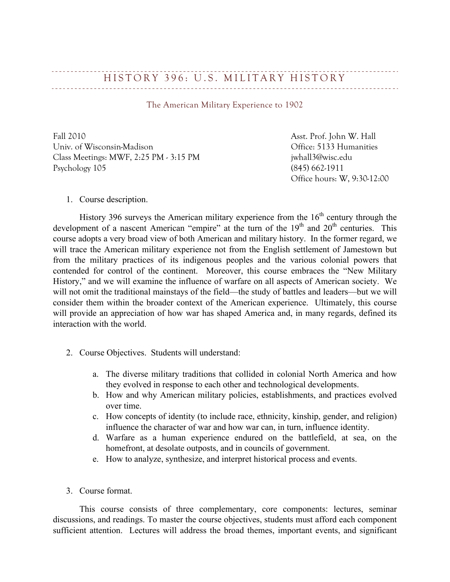## HISTORY 396: U.S. MILITARY HISTORY

The American Military Experience to 1902

Fall 2010 Asst. Prof. John W. Hall Univ. of Wisconsin-Madison Office: 5133 Humanities Class Meetings: MWF, 2:25 PM - 3:15 PM  $\sim$  7:15 PM jwhall3@wisc.edu Psychology 105 (845) 662-1911

Office hours: W, 9:30-12:00

1. Course description.

History 396 surveys the American military experience from the  $16<sup>th</sup>$  century through the development of a nascent American "empire" at the turn of the 19<sup>th</sup> and 20<sup>th</sup> centuries. This course adopts a very broad view of both American and military history. In the former regard, we will trace the American military experience not from the English settlement of Jamestown but from the military practices of its indigenous peoples and the various colonial powers that contended for control of the continent. Moreover, this course embraces the "New Military History," and we will examine the influence of warfare on all aspects of American society. We will not omit the traditional mainstays of the field—the study of battles and leaders—but we will consider them within the broader context of the American experience. Ultimately, this course will provide an appreciation of how war has shaped America and, in many regards, defined its interaction with the world.

- 2. Course Objectives. Students will understand:
	- a. The diverse military traditions that collided in colonial North America and how they evolved in response to each other and technological developments.
	- b. How and why American military policies, establishments, and practices evolved over time.
	- c. How concepts of identity (to include race, ethnicity, kinship, gender, and religion) influence the character of war and how war can, in turn, influence identity.
	- d. Warfare as a human experience endured on the battlefield, at sea, on the homefront, at desolate outposts, and in councils of government.
	- e. How to analyze, synthesize, and interpret historical process and events.
- 3. Course format.

This course consists of three complementary, core components: lectures, seminar discussions, and readings. To master the course objectives, students must afford each component sufficient attention. Lectures will address the broad themes, important events, and significant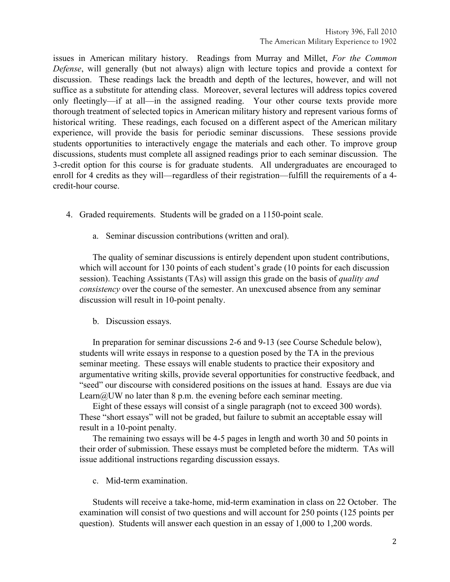issues in American military history. Readings from Murray and Millet, *For the Common Defense*, will generally (but not always) align with lecture topics and provide a context for discussion. These readings lack the breadth and depth of the lectures, however, and will not suffice as a substitute for attending class. Moreover, several lectures will address topics covered only fleetingly—if at all—in the assigned reading. Your other course texts provide more thorough treatment of selected topics in American military history and represent various forms of historical writing. These readings, each focused on a different aspect of the American military experience, will provide the basis for periodic seminar discussions. These sessions provide students opportunities to interactively engage the materials and each other. To improve group discussions, students must complete all assigned readings prior to each seminar discussion. The 3-credit option for this course is for graduate students. All undergraduates are encouraged to enroll for 4 credits as they will—regardless of their registration—fulfill the requirements of a 4credit-hour course.

- 4. Graded requirements. Students will be graded on a 1150-point scale.
	- a. Seminar discussion contributions (written and oral).

The quality of seminar discussions is entirely dependent upon student contributions, which will account for 130 points of each student's grade (10 points for each discussion session). Teaching Assistants (TAs) will assign this grade on the basis of *quality and consistency* over the course of the semester. An unexcused absence from any seminar discussion will result in 10-point penalty.

b. Discussion essays.

In preparation for seminar discussions 2-6 and 9-13 (see Course Schedule below), students will write essays in response to a question posed by the TA in the previous seminar meeting. These essays will enable students to practice their expository and argumentative writing skills, provide several opportunities for constructive feedback, and "seed" our discourse with considered positions on the issues at hand. Essays are due via Learn $@UW$  no later than 8 p.m. the evening before each seminar meeting.

Eight of these essays will consist of a single paragraph (not to exceed 300 words). These "short essays" will not be graded, but failure to submit an acceptable essay will result in a 10-point penalty.

The remaining two essays will be 4-5 pages in length and worth 30 and 50 points in their order of submission. These essays must be completed before the midterm. TAs will issue additional instructions regarding discussion essays.

c. Mid-term examination.

Students will receive a take-home, mid-term examination in class on 22 October. The examination will consist of two questions and will account for 250 points (125 points per question). Students will answer each question in an essay of 1,000 to 1,200 words.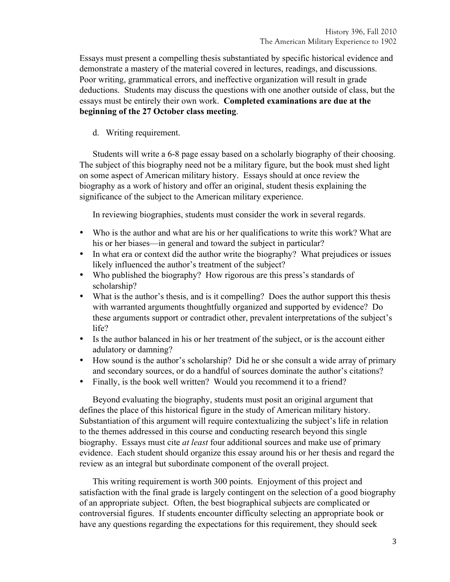Essays must present a compelling thesis substantiated by specific historical evidence and demonstrate a mastery of the material covered in lectures, readings, and discussions. Poor writing, grammatical errors, and ineffective organization will result in grade deductions. Students may discuss the questions with one another outside of class, but the essays must be entirely their own work. **Completed examinations are due at the beginning of the 27 October class meeting**.

d. Writing requirement.

Students will write a 6-8 page essay based on a scholarly biography of their choosing. The subject of this biography need not be a military figure, but the book must shed light on some aspect of American military history. Essays should at once review the biography as a work of history and offer an original, student thesis explaining the significance of the subject to the American military experience.

In reviewing biographies, students must consider the work in several regards.

- Who is the author and what are his or her qualifications to write this work? What are his or her biases—in general and toward the subject in particular?
- In what era or context did the author write the biography? What prejudices or issues likely influenced the author's treatment of the subject?
- Who published the biography? How rigorous are this press's standards of scholarship?
- What is the author's thesis, and is it compelling? Does the author support this thesis with warranted arguments thoughtfully organized and supported by evidence? Do these arguments support or contradict other, prevalent interpretations of the subject's life?
- Is the author balanced in his or her treatment of the subject, or is the account either adulatory or damning?
- How sound is the author's scholarship? Did he or she consult a wide array of primary and secondary sources, or do a handful of sources dominate the author's citations?
- Finally, is the book well written? Would you recommend it to a friend?

Beyond evaluating the biography, students must posit an original argument that defines the place of this historical figure in the study of American military history. Substantiation of this argument will require contextualizing the subject's life in relation to the themes addressed in this course and conducting research beyond this single biography. Essays must cite *at least* four additional sources and make use of primary evidence. Each student should organize this essay around his or her thesis and regard the review as an integral but subordinate component of the overall project.

This writing requirement is worth 300 points. Enjoyment of this project and satisfaction with the final grade is largely contingent on the selection of a good biography of an appropriate subject. Often, the best biographical subjects are complicated or controversial figures. If students encounter difficulty selecting an appropriate book or have any questions regarding the expectations for this requirement, they should seek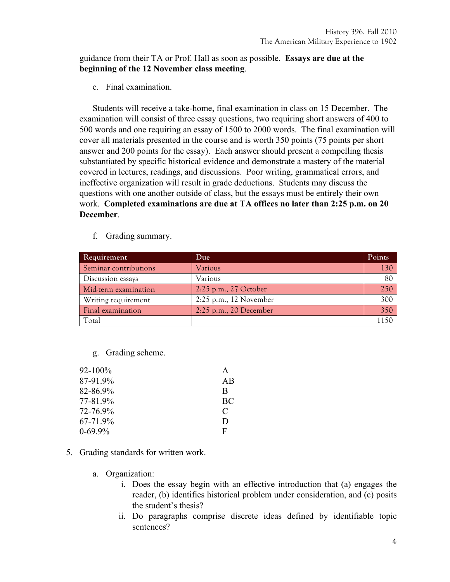## guidance from their TA or Prof. Hall as soon as possible. **Essays are due at the beginning of the 12 November class meeting**.

e. Final examination.

Students will receive a take-home, final examination in class on 15 December. The examination will consist of three essay questions, two requiring short answers of 400 to 500 words and one requiring an essay of 1500 to 2000 words. The final examination will cover all materials presented in the course and is worth 350 points (75 points per short answer and 200 points for the essay). Each answer should present a compelling thesis substantiated by specific historical evidence and demonstrate a mastery of the material covered in lectures, readings, and discussions. Poor writing, grammatical errors, and ineffective organization will result in grade deductions. Students may discuss the questions with one another outside of class, but the essays must be entirely their own work. **Completed examinations are due at TA offices no later than 2:25 p.m. on 20 December**.

| Requirement           | Due                      | Points |
|-----------------------|--------------------------|--------|
| Seminar contributions | Various                  | 130    |
| Discussion essays     | Various                  | 80     |
| Mid-term examination  | 2:25 p.m., 27 October    | 250    |
| Writing requirement   | $2:25$ p.m., 12 November | 300    |
| Final examination     | $2:25$ p.m., 20 December | 350    |
| Total                 |                          | 1150   |

f. Grading summary.

g. Grading scheme.

| 92-100%      | A  |
|--------------|----|
| 87-91.9%     | AB |
| 82-86.9%     | B  |
| 77-81.9%     | BC |
| 72-76.9%     | C  |
| 67-71.9%     | D  |
| $0 - 69.9\%$ | F  |
|              |    |

- 5. Grading standards for written work.
	- a. Organization:
		- i. Does the essay begin with an effective introduction that (a) engages the reader, (b) identifies historical problem under consideration, and (c) posits the student's thesis?
		- ii. Do paragraphs comprise discrete ideas defined by identifiable topic sentences?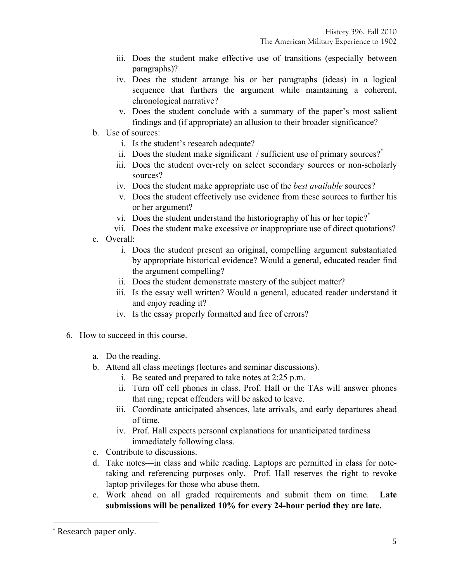- iii. Does the student make effective use of transitions (especially between paragraphs)?
- iv. Does the student arrange his or her paragraphs (ideas) in a logical sequence that furthers the argument while maintaining a coherent, chronological narrative?
- v. Does the student conclude with a summary of the paper's most salient findings and (if appropriate) an allusion to their broader significance?
- b. Use of sources:
	- i. Is the student's research adequate?
	- ii. Does the student make significant / sufficient use of primary sources? $*$
	- iii. Does the student over-rely on select secondary sources or non-scholarly sources?
	- iv. Does the student make appropriate use of the *best available* sources?
	- v. Does the student effectively use evidence from these sources to further his or her argument?
	- vi. Does the student understand the historiography of his or her topic?<sup>\*</sup>
	- vii. Does the student make excessive or inappropriate use of direct quotations?
- c. Overall:
	- i. Does the student present an original, compelling argument substantiated by appropriate historical evidence? Would a general, educated reader find the argument compelling?
	- ii. Does the student demonstrate mastery of the subject matter?
	- iii. Is the essay well written? Would a general, educated reader understand it and enjoy reading it?
	- iv. Is the essay properly formatted and free of errors?
- 6. How to succeed in this course.
	- a. Do the reading.
	- b. Attend all class meetings (lectures and seminar discussions).
		- i. Be seated and prepared to take notes at 2:25 p.m.
		- ii. Turn off cell phones in class. Prof. Hall or the TAs will answer phones that ring; repeat offenders will be asked to leave.
		- iii. Coordinate anticipated absences, late arrivals, and early departures ahead of time.
		- iv. Prof. Hall expects personal explanations for unanticipated tardiness immediately following class.
	- c. Contribute to discussions.
	- d. Take notes—in class and while reading. Laptops are permitted in class for notetaking and referencing purposes only. Prof. Hall reserves the right to revoke laptop privileges for those who abuse them.
	- e. Work ahead on all graded requirements and submit them on time. **Late submissions will be penalized 10% for every 24-hour period they are late.**

!!!!!!!!!!!!!!!!!!!!!!!!!!!!!!!!!!!!!!!!!!!!!!!!!!!!!!!!!!!!

<sup>\*</sup> Research paper only.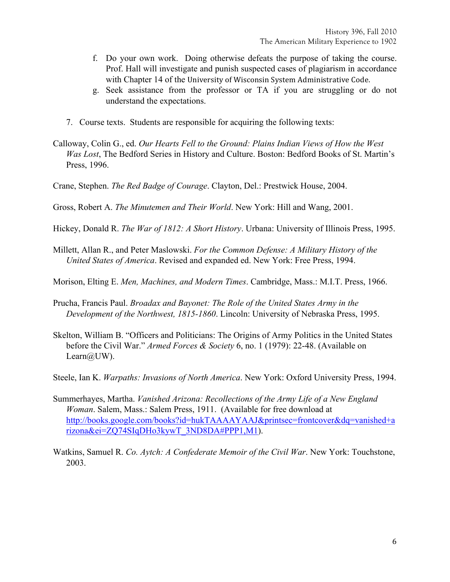- f. Do your own work. Doing otherwise defeats the purpose of taking the course. Prof. Hall will investigate and punish suspected cases of plagiarism in accordance with Chapter 14 of the University of Wisconsin System Administrative Code.
- g. Seek assistance from the professor or TA if you are struggling or do not understand the expectations.
- 7. Course texts. Students are responsible for acquiring the following texts:
- Calloway, Colin G., ed. *Our Hearts Fell to the Ground: Plains Indian Views of How the West Was Lost*, The Bedford Series in History and Culture. Boston: Bedford Books of St. Martin's Press, 1996.
- Crane, Stephen. *The Red Badge of Courage*. Clayton, Del.: Prestwick House, 2004.
- Gross, Robert A. *The Minutemen and Their World*. New York: Hill and Wang, 2001.
- Hickey, Donald R. *The War of 1812: A Short History*. Urbana: University of Illinois Press, 1995.
- Millett, Allan R., and Peter Maslowski. *For the Common Defense: A Military History of the United States of America*. Revised and expanded ed. New York: Free Press, 1994.
- Morison, Elting E. *Men, Machines, and Modern Times*. Cambridge, Mass.: M.I.T. Press, 1966.
- Prucha, Francis Paul. *Broadax and Bayonet: The Role of the United States Army in the Development of the Northwest, 1815-1860*. Lincoln: University of Nebraska Press, 1995.
- Skelton, William B. "Officers and Politicians: The Origins of Army Politics in the United States before the Civil War." *Armed Forces & Society* 6, no. 1 (1979): 22-48. (Available on Learn $(a)$ UW).
- Steele, Ian K. *Warpaths: Invasions of North America*. New York: Oxford University Press, 1994.
- Summerhayes, Martha. *Vanished Arizona: Recollections of the Army Life of a New England Woman*. Salem, Mass.: Salem Press, 1911. (Available for free download at http://books.google.com/books?id=hukTAAAAYAAJ&printsec=frontcover&dq=vanished+a rizona&ei=ZQ74SIqDHo3kywT\_3ND8DA#PPP1,M1).
- Watkins, Samuel R. *Co. Aytch: A Confederate Memoir of the Civil War*. New York: Touchstone, 2003.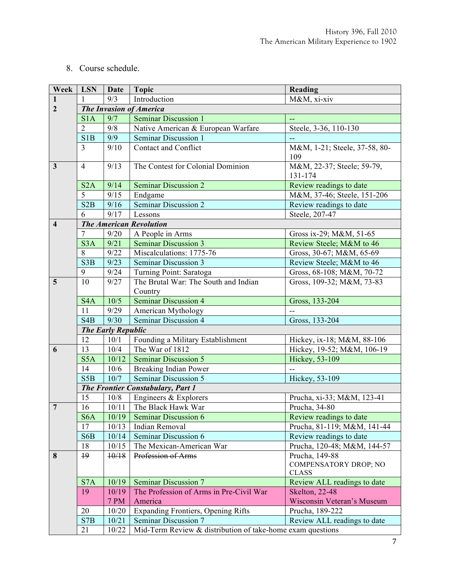## 8. Course schedule.

| Week                    | <b>LSN</b>                        | <b>Date</b>               | <b>Topic</b>                                               | Reading                                                        |  |
|-------------------------|-----------------------------------|---------------------------|------------------------------------------------------------|----------------------------------------------------------------|--|
| 1                       | 1                                 | 9/3                       | Introduction                                               | M&M, xi-xiv                                                    |  |
| $\overline{2}$          | <b>The Invasion of America</b>    |                           |                                                            |                                                                |  |
|                         | S <sub>1</sub> A                  | 9/7                       | <b>Seminar Discussion 1</b>                                | $-$                                                            |  |
|                         | $\overline{2}$                    | 9/8                       | Native American & European Warfare                         | Steele, 3-36, 110-130                                          |  |
|                         | S1B                               | 9/9                       | Seminar Discussion 1                                       |                                                                |  |
|                         | 3                                 | 9/10                      | <b>Contact and Conflict</b>                                | M&M, 1-21; Steele, 37-58, 80-<br>109                           |  |
| $\overline{3}$          | $\overline{4}$                    | 9/13                      | The Contest for Colonial Dominion                          | M&M, 22-37; Steele; 59-79,<br>131-174                          |  |
|                         | S2A                               | 9/14                      | <b>Seminar Discussion 2</b>                                | Review readings to date                                        |  |
|                         | 5                                 | 9/15                      | Endgame                                                    | M&M, 37-46; Steele, 151-206                                    |  |
|                         | S2B                               | 9/16                      | Seminar Discussion 2                                       | Review readings to date                                        |  |
|                         | 6                                 | 9/17                      | Lessons                                                    | Steele, 207-47                                                 |  |
| $\overline{\mathbf{4}}$ | <b>The American Revolution</b>    |                           |                                                            |                                                                |  |
|                         | 7                                 | 9/20                      | A People in Arms                                           | Gross ix-29; M&M, 51-65                                        |  |
|                         | S <sub>3</sub> A                  | 9/21                      | <b>Seminar Discussion 3</b>                                | Review Steele; M&M to 46                                       |  |
|                         | 8                                 | 9/22                      | Miscalculations: 1775-76                                   | Gross, 30-67; M&M, 65-69                                       |  |
|                         | S3B                               | 9/23                      | Seminar Discussion 3                                       | Review Steele; M&M to 46                                       |  |
|                         | 9                                 | 9/24                      | Turning Point: Saratoga                                    | Gross, 68-108; M&M, 70-72                                      |  |
| 5                       | 10                                | 9/27                      | The Brutal War: The South and Indian<br>Country            | Gross, 109-32; M&M, 73-83                                      |  |
|                         | S <sub>4</sub> A                  | 10/5                      | <b>Seminar Discussion 4</b>                                | Gross, 133-204                                                 |  |
|                         | 11                                | 9/29                      | American Mythology                                         |                                                                |  |
|                         | S <sub>4</sub> B                  | 9/30                      | <b>Seminar Discussion 4</b>                                | Gross, 133-204                                                 |  |
|                         |                                   | <b>The Early Republic</b> |                                                            |                                                                |  |
|                         | 12                                | 10/1                      | Founding a Military Establishment                          | Hickey, ix-18; M&M, 88-106                                     |  |
| 6                       | 13                                | 10/4                      | The War of 1812                                            | Hickey, 19-52; M&M, 106-19                                     |  |
|                         | S <sub>5</sub> A                  | 10/12                     | <b>Seminar Discussion 5</b>                                | Hickey, 53-109                                                 |  |
|                         | 14                                | 10/6                      | Breaking Indian Power                                      |                                                                |  |
|                         | S <sub>5</sub> B                  | 10/7                      | <b>Seminar Discussion 5</b>                                | Hickey, 53-109                                                 |  |
|                         | The Frontier Constabulary, Part 1 |                           |                                                            |                                                                |  |
|                         | 15                                | 10/8                      | Engineers & Explorers                                      | Prucha, xi-33; M&M, 123-41                                     |  |
| $\overline{7}$          | 16                                | 10/11                     | The Black Hawk War                                         | Prucha, 34-80                                                  |  |
|                         | S <sub>6</sub> A                  | 10/19                     | <b>Seminar Discussion 6</b>                                | Review readings to date                                        |  |
|                         | 17                                | 10/13                     | Indian Removal                                             | Prucha, 81-119; M&M, 141-44                                    |  |
|                         | S6B                               | 10/14                     | Seminar Discussion 6                                       | Review readings to date                                        |  |
|                         | 18                                | 10/15                     | The Mexican-American War                                   | Prucha, 120-48; M&M, 144-57                                    |  |
| 8                       | $+9$                              | 10/18                     | Profession of Arms                                         | Prucha, 149-88<br><b>COMPENSATORY DROP; NO</b><br><b>CLASS</b> |  |
|                         | S7A                               | 10/19                     | <b>Seminar Discussion 7</b>                                | Review ALL readings to date                                    |  |
|                         | 19                                | 10/19                     | The Profession of Arms in Pre-Civil War                    | <b>Skelton</b> , 22-48                                         |  |
|                         |                                   | <b>7 PM</b>               | America                                                    | Wisconsin Veteran's Museum                                     |  |
|                         | 20                                | 10/20                     | Expanding Frontiers, Opening Rifts                         | Prucha, 189-222                                                |  |
|                         | S7B                               | 10/21                     | Seminar Discussion 7                                       | Review ALL readings to date                                    |  |
|                         | 21                                | 10/22                     | Mid-Term Review & distribution of take-home exam questions |                                                                |  |